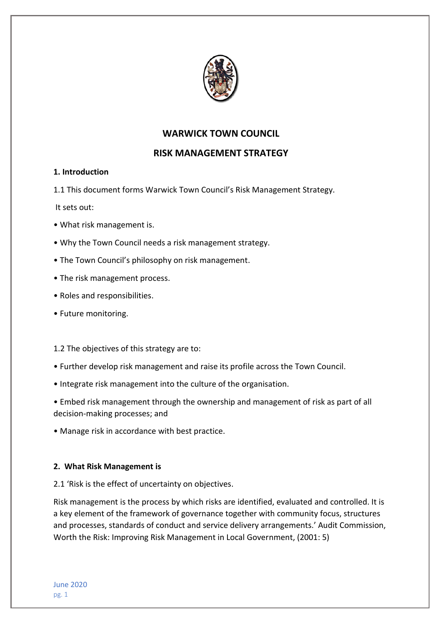

# **WARWICK TOWN COUNCIL**

# **RISK MANAGEMENT STRATEGY**

## **1. Introduction**

1.1 This document forms Warwick Town Council's Risk Management Strategy.

It sets out:

- What risk management is.
- Why the Town Council needs a risk management strategy.
- The Town Council's philosophy on risk management.
- The risk management process.
- Roles and responsibilities.
- Future monitoring.

## 1.2 The objectives of this strategy are to:

- Further develop risk management and raise its profile across the Town Council.
- Integrate risk management into the culture of the organisation.
- Embed risk management through the ownership and management of risk as part of all decision-making processes; and
- Manage risk in accordance with best practice.

## **2. What Risk Management is**

2.1 'Risk is the effect of uncertainty on objectives.

Risk management is the process by which risks are identified, evaluated and controlled. It is a key element of the framework of governance together with community focus, structures and processes, standards of conduct and service delivery arrangements.' Audit Commission, Worth the Risk: Improving Risk Management in Local Government, (2001: 5)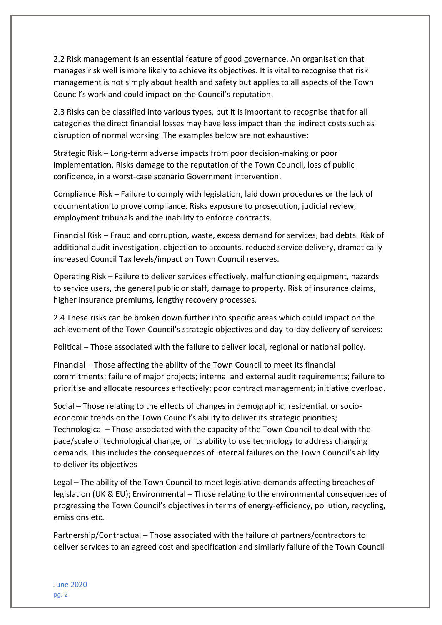2.2 Risk management is an essential feature of good governance. An organisation that manages risk well is more likely to achieve its objectives. It is vital to recognise that risk management is not simply about health and safety but applies to all aspects of the Town Council's work and could impact on the Council's reputation.

2.3 Risks can be classified into various types, but it is important to recognise that for all categories the direct financial losses may have less impact than the indirect costs such as disruption of normal working. The examples below are not exhaustive:

Strategic Risk – Long-term adverse impacts from poor decision-making or poor implementation. Risks damage to the reputation of the Town Council, loss of public confidence, in a worst-case scenario Government intervention.

Compliance Risk – Failure to comply with legislation, laid down procedures or the lack of documentation to prove compliance. Risks exposure to prosecution, judicial review, employment tribunals and the inability to enforce contracts.

Financial Risk – Fraud and corruption, waste, excess demand for services, bad debts. Risk of additional audit investigation, objection to accounts, reduced service delivery, dramatically increased Council Tax levels/impact on Town Council reserves.

Operating Risk – Failure to deliver services effectively, malfunctioning equipment, hazards to service users, the general public or staff, damage to property. Risk of insurance claims, higher insurance premiums, lengthy recovery processes.

2.4 These risks can be broken down further into specific areas which could impact on the achievement of the Town Council's strategic objectives and day-to-day delivery of services:

Political – Those associated with the failure to deliver local, regional or national policy.

Financial – Those affecting the ability of the Town Council to meet its financial commitments; failure of major projects; internal and external audit requirements; failure to prioritise and allocate resources effectively; poor contract management; initiative overload.

Social – Those relating to the effects of changes in demographic, residential, or socioeconomic trends on the Town Council's ability to deliver its strategic priorities; Technological – Those associated with the capacity of the Town Council to deal with the pace/scale of technological change, or its ability to use technology to address changing demands. This includes the consequences of internal failures on the Town Council's ability to deliver its objectives

Legal – The ability of the Town Council to meet legislative demands affecting breaches of legislation (UK & EU); Environmental – Those relating to the environmental consequences of progressing the Town Council's objectives in terms of energy-efficiency, pollution, recycling, emissions etc.

Partnership/Contractual – Those associated with the failure of partners/contractors to deliver services to an agreed cost and specification and similarly failure of the Town Council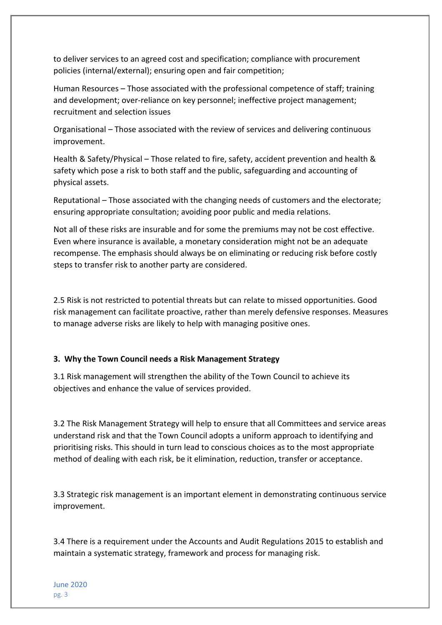to deliver services to an agreed cost and specification; compliance with procurement policies (internal/external); ensuring open and fair competition;

Human Resources – Those associated with the professional competence of staff; training and development; over-reliance on key personnel; ineffective project management; recruitment and selection issues

Organisational – Those associated with the review of services and delivering continuous improvement.

Health & Safety/Physical – Those related to fire, safety, accident prevention and health & safety which pose a risk to both staff and the public, safeguarding and accounting of physical assets.

Reputational – Those associated with the changing needs of customers and the electorate; ensuring appropriate consultation; avoiding poor public and media relations.

Not all of these risks are insurable and for some the premiums may not be cost effective. Even where insurance is available, a monetary consideration might not be an adequate recompense. The emphasis should always be on eliminating or reducing risk before costly steps to transfer risk to another party are considered.

2.5 Risk is not restricted to potential threats but can relate to missed opportunities. Good risk management can facilitate proactive, rather than merely defensive responses. Measures to manage adverse risks are likely to help with managing positive ones.

#### **3. Why the Town Council needs a Risk Management Strategy**

3.1 Risk management will strengthen the ability of the Town Council to achieve its objectives and enhance the value of services provided.

3.2 The Risk Management Strategy will help to ensure that all Committees and service areas understand risk and that the Town Council adopts a uniform approach to identifying and prioritising risks. This should in turn lead to conscious choices as to the most appropriate method of dealing with each risk, be it elimination, reduction, transfer or acceptance.

3.3 Strategic risk management is an important element in demonstrating continuous service improvement.

3.4 There is a requirement under the Accounts and Audit Regulations 2015 to establish and maintain a systematic strategy, framework and process for managing risk.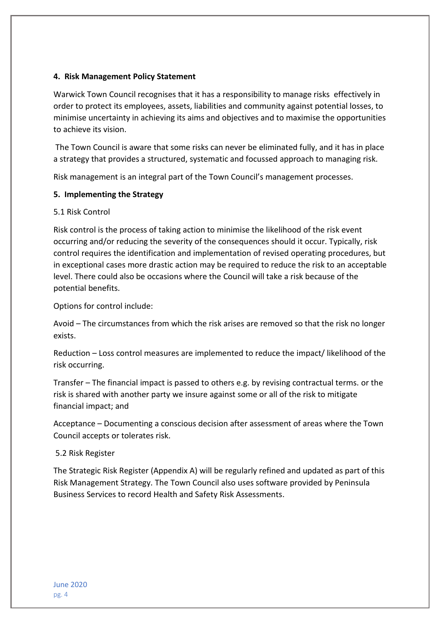#### **4. Risk Management Policy Statement**

Warwick Town Council recognises that it has a responsibility to manage risks effectively in order to protect its employees, assets, liabilities and community against potential losses, to minimise uncertainty in achieving its aims and objectives and to maximise the opportunities to achieve its vision.

The Town Council is aware that some risks can never be eliminated fully, and it has in place a strategy that provides a structured, systematic and focussed approach to managing risk.

Risk management is an integral part of the Town Council's management processes.

### **5. Implementing the Strategy**

#### 5.1 Risk Control

Risk control is the process of taking action to minimise the likelihood of the risk event occurring and/or reducing the severity of the consequences should it occur. Typically, risk control requires the identification and implementation of revised operating procedures, but in exceptional cases more drastic action may be required to reduce the risk to an acceptable level. There could also be occasions where the Council will take a risk because of the potential benefits.

Options for control include:

Avoid – The circumstances from which the risk arises are removed so that the risk no longer exists.

Reduction – Loss control measures are implemented to reduce the impact/ likelihood of the risk occurring.

Transfer – The financial impact is passed to others e.g. by revising contractual terms. or the risk is shared with another party we insure against some or all of the risk to mitigate financial impact; and

Acceptance – Documenting a conscious decision after assessment of areas where the Town Council accepts or tolerates risk.

#### 5.2 Risk Register

The Strategic Risk Register (Appendix A) will be regularly refined and updated as part of this Risk Management Strategy. The Town Council also uses software provided by Peninsula Business Services to record Health and Safety Risk Assessments.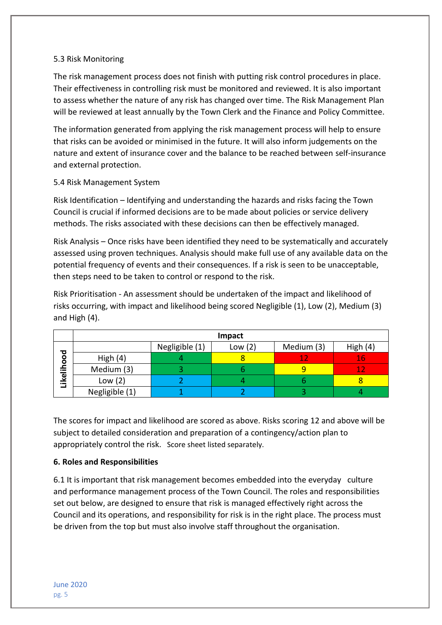#### 5.3 Risk Monitoring

The risk management process does not finish with putting risk control procedures in place. Their effectiveness in controlling risk must be monitored and reviewed. It is also important to assess whether the nature of any risk has changed over time. The Risk Management Plan will be reviewed at least annually by the Town Clerk and the Finance and Policy Committee.

The information generated from applying the risk management process will help to ensure that risks can be avoided or minimised in the future. It will also inform judgements on the nature and extent of insurance cover and the balance to be reached between self-insurance and external protection.

## 5.4 Risk Management System

Risk Identification – Identifying and understanding the hazards and risks facing the Town Council is crucial if informed decisions are to be made about policies or service delivery methods. The risks associated with these decisions can then be effectively managed.

Risk Analysis – Once risks have been identified they need to be systematically and accurately assessed using proven techniques. Analysis should make full use of any available data on the potential frequency of events and their consequences. If a risk is seen to be unacceptable, then steps need to be taken to control or respond to the risk.

Risk Prioritisation - An assessment should be undertaken of the impact and likelihood of risks occurring, with impact and likelihood being scored Negligible (1), Low (2), Medium (3) and High (4).

|                | Impact         |                |           |            |              |
|----------------|----------------|----------------|-----------|------------|--------------|
| ъ<br>Likelihoo |                | Negligible (1) | Low $(2)$ | Medium (3) | High $(4)$   |
|                | High $(4)$     |                |           | 10         |              |
|                | Medium (3)     |                |           |            | $\mathbf{A}$ |
|                | Low $(2)$      |                |           |            |              |
|                | Negligible (1) |                |           |            |              |

The scores for impact and likelihood are scored as above. Risks scoring 12 and above will be subject to detailed consideration and preparation of a contingency/action plan to appropriately control the risk. Score sheet listed separately.

## **6. Roles and Responsibilities**

6.1 It is important that risk management becomes embedded into the everyday culture and performance management process of the Town Council. The roles and responsibilities set out below, are designed to ensure that risk is managed effectively right across the Council and its operations, and responsibility for risk is in the right place. The process must be driven from the top but must also involve staff throughout the organisation.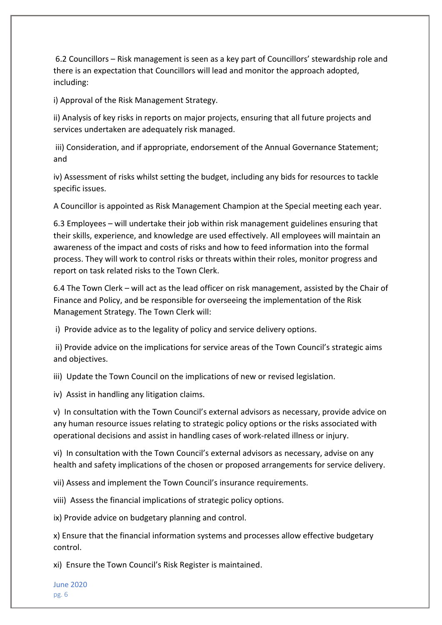6.2 Councillors – Risk management is seen as a key part of Councillors' stewardship role and there is an expectation that Councillors will lead and monitor the approach adopted, including:

i) Approval of the Risk Management Strategy.

ii) Analysis of key risks in reports on major projects, ensuring that all future projects and services undertaken are adequately risk managed.

iii) Consideration, and if appropriate, endorsement of the Annual Governance Statement; and

iv) Assessment of risks whilst setting the budget, including any bids for resources to tackle specific issues.

A Councillor is appointed as Risk Management Champion at the Special meeting each year.

6.3 Employees – will undertake their job within risk management guidelines ensuring that their skills, experience, and knowledge are used effectively. All employees will maintain an awareness of the impact and costs of risks and how to feed information into the formal process. They will work to control risks or threats within their roles, monitor progress and report on task related risks to the Town Clerk.

6.4 The Town Clerk – will act as the lead officer on risk management, assisted by the Chair of Finance and Policy, and be responsible for overseeing the implementation of the Risk Management Strategy. The Town Clerk will:

i) Provide advice as to the legality of policy and service delivery options.

ii) Provide advice on the implications for service areas of the Town Council's strategic aims and objectives.

iii) Update the Town Council on the implications of new or revised legislation.

iv) Assist in handling any litigation claims.

v) In consultation with the Town Council's external advisors as necessary, provide advice on any human resource issues relating to strategic policy options or the risks associated with operational decisions and assist in handling cases of work-related illness or injury.

vi) In consultation with the Town Council's external advisors as necessary, advise on any health and safety implications of the chosen or proposed arrangements for service delivery.

vii) Assess and implement the Town Council's insurance requirements.

viii) Assess the financial implications of strategic policy options.

ix) Provide advice on budgetary planning and control.

x) Ensure that the financial information systems and processes allow effective budgetary control.

xi) Ensure the Town Council's Risk Register is maintained.

June 2020 pg. 6